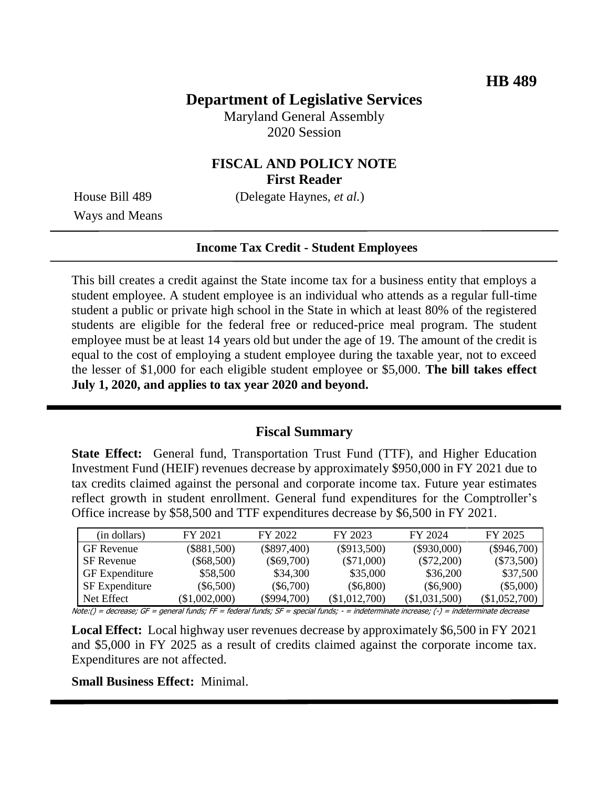## **Department of Legislative Services**

Maryland General Assembly 2020 Session

### **FISCAL AND POLICY NOTE First Reader**

House Bill 489 (Delegate Haynes, *et al.*)

Ways and Means

#### **Income Tax Credit - Student Employees**

This bill creates a credit against the State income tax for a business entity that employs a student employee. A student employee is an individual who attends as a regular full-time student a public or private high school in the State in which at least 80% of the registered students are eligible for the federal free or reduced-price meal program. The student employee must be at least 14 years old but under the age of 19. The amount of the credit is equal to the cost of employing a student employee during the taxable year, not to exceed the lesser of \$1,000 for each eligible student employee or \$5,000. **The bill takes effect July 1, 2020, and applies to tax year 2020 and beyond.**

### **Fiscal Summary**

**State Effect:** General fund, Transportation Trust Fund (TTF), and Higher Education Investment Fund (HEIF) revenues decrease by approximately \$950,000 in FY 2021 due to tax credits claimed against the personal and corporate income tax. Future year estimates reflect growth in student enrollment. General fund expenditures for the Comptroller's Office increase by \$58,500 and TTF expenditures decrease by \$6,500 in FY 2021.

| (in dollars)          | FY 2021       | FY 2022       | FY 2023       | FY 2024         | FY 2025       |
|-----------------------|---------------|---------------|---------------|-----------------|---------------|
| <b>GF</b> Revenue     | $(\$881,500)$ | $(\$897,400)$ | $(\$913,500)$ | $(\$930,000)$   | $(\$946,700)$ |
| <b>SF</b> Revenue     | $(\$68,500)$  | $(\$69,700)$  | $(\$71,000)$  | $(\$72,200)$    | $(\$73,500)$  |
| <b>GF</b> Expenditure | \$58,500      | \$34,300      | \$35,000      | \$36,200        | \$37,500      |
| <b>SF</b> Expenditure | $(\$6,500)$   | $(\$6,700)$   | $(\$6,800)$   | $(\$6,900)$     | $(\$5,000)$   |
| Net Effect            | (\$1,002,000) | $(\$994,700)$ | (\$1,012,700) | $(\$1,031,500)$ | (\$1,052,700) |

Note:() = decrease; GF = general funds; FF = federal funds; SF = special funds; - = indeterminate increase; (-) = indeterminate decrease

**Local Effect:** Local highway user revenues decrease by approximately \$6,500 in FY 2021 and \$5,000 in FY 2025 as a result of credits claimed against the corporate income tax. Expenditures are not affected.

#### **Small Business Effect:** Minimal.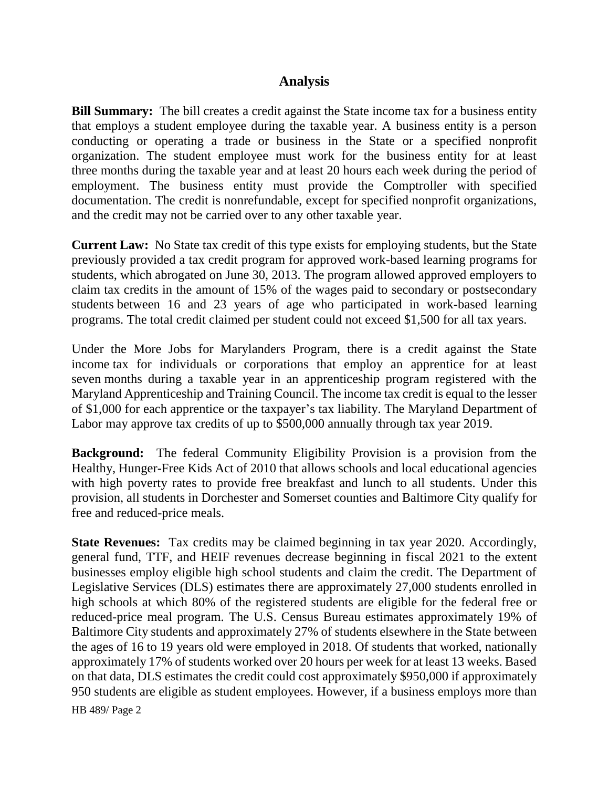### **Analysis**

**Bill Summary:** The bill creates a credit against the State income tax for a business entity that employs a student employee during the taxable year. A business entity is a person conducting or operating a trade or business in the State or a specified nonprofit organization. The student employee must work for the business entity for at least three months during the taxable year and at least 20 hours each week during the period of employment. The business entity must provide the Comptroller with specified documentation. The credit is nonrefundable, except for specified nonprofit organizations, and the credit may not be carried over to any other taxable year.

**Current Law:** No State tax credit of this type exists for employing students, but the State previously provided a tax credit program for approved work-based learning programs for students, which abrogated on June 30, 2013. The program allowed approved employers to claim tax credits in the amount of 15% of the wages paid to secondary or postsecondary students between 16 and 23 years of age who participated in work-based learning programs. The total credit claimed per student could not exceed \$1,500 for all tax years.

Under the More Jobs for Marylanders Program, there is a credit against the State income tax for individuals or corporations that employ an apprentice for at least seven months during a taxable year in an apprenticeship program registered with the Maryland Apprenticeship and Training Council. The income tax credit is equal to the lesser of \$1,000 for each apprentice or the taxpayer's tax liability. The Maryland Department of Labor may approve tax credits of up to \$500,000 annually through tax year 2019.

**Background:** The federal Community Eligibility Provision is a provision from the Healthy, Hunger-Free Kids Act of 2010 that allows schools and local educational agencies with high poverty rates to provide free breakfast and lunch to all students. Under this provision, all students in Dorchester and Somerset counties and Baltimore City qualify for free and reduced-price meals.

**State Revenues:** Tax credits may be claimed beginning in tax year 2020. Accordingly, general fund, TTF, and HEIF revenues decrease beginning in fiscal 2021 to the extent businesses employ eligible high school students and claim the credit. The Department of Legislative Services (DLS) estimates there are approximately 27,000 students enrolled in high schools at which 80% of the registered students are eligible for the federal free or reduced-price meal program. The U.S. Census Bureau estimates approximately 19% of Baltimore City students and approximately 27% of students elsewhere in the State between the ages of 16 to 19 years old were employed in 2018. Of students that worked, nationally approximately 17% of students worked over 20 hours per week for at least 13 weeks. Based on that data, DLS estimates the credit could cost approximately \$950,000 if approximately 950 students are eligible as student employees. However, if a business employs more than

HB 489/ Page 2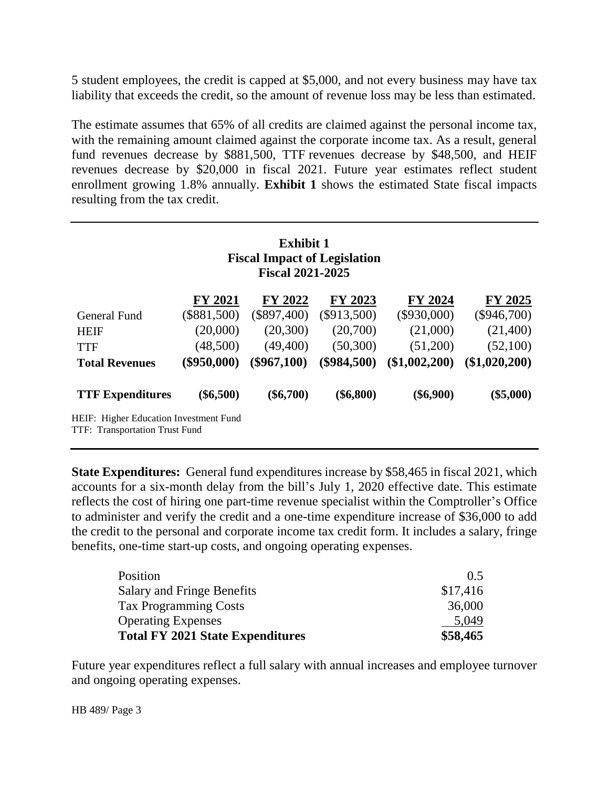5 student employees, the credit is capped at \$5,000, and not every business may have tax liability that exceeds the credit, so the amount of revenue loss may be less than estimated.

The estimate assumes that 65% of all credits are claimed against the personal income tax, with the remaining amount claimed against the corporate income tax. As a result, general fund revenues decrease by \$881,500, TTF revenues decrease by \$48,500, and HEIF revenues decrease by \$20,000 in fiscal 2021. Future year estimates reflect student enrollment growing 1.8% annually. **Exhibit 1** shows the estimated State fiscal impacts resulting from the tax credit.

| <b>Exhibit 1</b>                    |  |  |  |  |
|-------------------------------------|--|--|--|--|
| <b>Fiscal Impact of Legislation</b> |  |  |  |  |
| <b>Fiscal 2021-2025</b>             |  |  |  |  |

|                                                                          | <b>FY 2021</b> | FY 2022       | FY 2023       | FY 2024       | FY 2025       |
|--------------------------------------------------------------------------|----------------|---------------|---------------|---------------|---------------|
| General Fund                                                             | $(\$881,500)$  | $(\$897,400)$ | $(\$913,500)$ | $(\$930,000)$ | $(\$946,700)$ |
| <b>HEIF</b>                                                              | (20,000)       | (20, 300)     | (20,700)      | (21,000)      | (21,400)      |
| <b>TTF</b>                                                               | (48,500)       | (49, 400)     | (50, 300)     | (51,200)      | (52,100)      |
| <b>Total Revenues</b>                                                    | $(\$950,000)$  | $(\$967,100)$ | $(\$984,500)$ | (\$1,002,200) | (\$1,020,200) |
| <b>TTF Expenditures</b>                                                  | $(\$6,500)$    | $(\$6,700)$   | $(\$6,800)$   | $(\$6,900)$   | $(\$5,000)$   |
| HEIF: Higher Education Investment Fund<br>TTF: Transportation Trust Fund |                |               |               |               |               |

**State Expenditures:** General fund expenditures increase by \$58,465 in fiscal 2021, which accounts for a six-month delay from the bill's July 1, 2020 effective date. This estimate reflects the cost of hiring one part-time revenue specialist within the Comptroller's Office to administer and verify the credit and a one-time expenditure increase of \$36,000 to add the credit to the personal and corporate income tax credit form. It includes a salary, fringe benefits, one-time start-up costs, and ongoing operating expenses.

| Position                                | $()$ 5   |
|-----------------------------------------|----------|
| Salary and Fringe Benefits              | \$17,416 |
| <b>Tax Programming Costs</b>            | 36,000   |
| <b>Operating Expenses</b>               | 5.049    |
| <b>Total FY 2021 State Expenditures</b> | \$58,465 |

Future year expenditures reflect a full salary with annual increases and employee turnover and ongoing operating expenses.